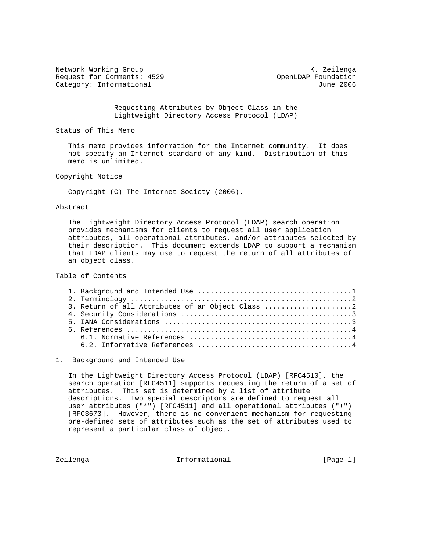Network Working Group and Month Communications of the Month Communication of the Month Communication of the Mo Request for Comments: 4529 OpenLDAP Foundation Category: Informational and Category: Informational and Category: The 2006

 Requesting Attributes by Object Class in the Lightweight Directory Access Protocol (LDAP)

Status of This Memo

 This memo provides information for the Internet community. It does not specify an Internet standard of any kind. Distribution of this memo is unlimited.

Copyright Notice

Copyright (C) The Internet Society (2006).

## Abstract

 The Lightweight Directory Access Protocol (LDAP) search operation provides mechanisms for clients to request all user application attributes, all operational attributes, and/or attributes selected by their description. This document extends LDAP to support a mechanism that LDAP clients may use to request the return of all attributes of an object class.

Table of Contents

|  | 3. Return of all Attributes of an Object Class |
|--|------------------------------------------------|
|  |                                                |
|  |                                                |
|  |                                                |
|  |                                                |
|  |                                                |
|  |                                                |

1. Background and Intended Use

 In the Lightweight Directory Access Protocol (LDAP) [RFC4510], the search operation [RFC4511] supports requesting the return of a set of attributes. This set is determined by a list of attribute descriptions. Two special descriptors are defined to request all user attributes ("\*") [RFC4511] and all operational attributes ("+") [RFC3673]. However, there is no convenient mechanism for requesting pre-defined sets of attributes such as the set of attributes used to represent a particular class of object.

Zeilenga **Informational** Informational [Page 1]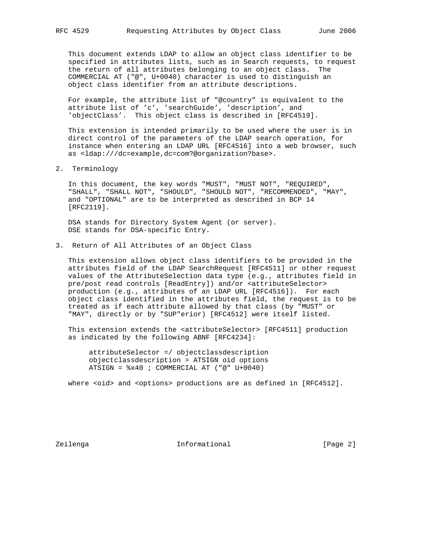This document extends LDAP to allow an object class identifier to be specified in attributes lists, such as in Search requests, to request the return of all attributes belonging to an object class. The COMMERCIAL AT ("@", U+0040) character is used to distinguish an object class identifier from an attribute descriptions.

 For example, the attribute list of "@country" is equivalent to the attribute list of 'c', 'searchGuide', 'description', and 'objectClass'. This object class is described in [RFC4519].

 This extension is intended primarily to be used where the user is in direct control of the parameters of the LDAP search operation, for instance when entering an LDAP URL [RFC4516] into a web browser, such as <ldap:///dc=example,dc=com?@organization?base>.

2. Terminology

 In this document, the key words "MUST", "MUST NOT", "REQUIRED", "SHALL", "SHALL NOT", "SHOULD", "SHOULD NOT", "RECOMMENDED", "MAY", and "OPTIONAL" are to be interpreted as described in BCP 14 [RFC2119].

 DSA stands for Directory System Agent (or server). DSE stands for DSA-specific Entry.

3. Return of All Attributes of an Object Class

 This extension allows object class identifiers to be provided in the attributes field of the LDAP SearchRequest [RFC4511] or other request values of the AttributeSelection data type (e.g., attributes field in pre/post read controls [ReadEntry]) and/or <attributeSelector> production (e.g., attributes of an LDAP URL [RFC4516]). For each object class identified in the attributes field, the request is to be treated as if each attribute allowed by that class (by "MUST" or "MAY", directly or by "SUP"erior) [RFC4512] were itself listed.

 This extension extends the <attributeSelector> [RFC4511] production as indicated by the following ABNF [RFC4234]:

 attributeSelector =/ objectclassdescription objectclassdescription = ATSIGN oid options ATSIGN =  $8x40$  ; COMMERCIAL AT ("@" U+0040)

where <oid> and <options> productions are as defined in [RFC4512].

Zeilenga **Informational** Informational [Page 2]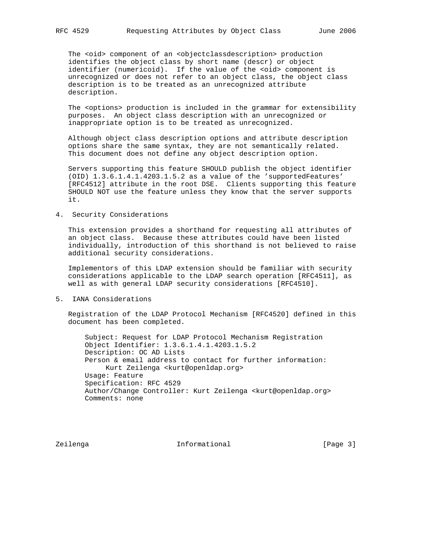The <oid> component of an <objectclassdescription> production identifies the object class by short name (descr) or object identifier (numericoid). If the value of the <oid> component is unrecognized or does not refer to an object class, the object class description is to be treated as an unrecognized attribute description.

The <options> production is included in the grammar for extensibility purposes. An object class description with an unrecognized or inappropriate option is to be treated as unrecognized.

 Although object class description options and attribute description options share the same syntax, they are not semantically related. This document does not define any object description option.

 Servers supporting this feature SHOULD publish the object identifier (OID) 1.3.6.1.4.1.4203.1.5.2 as a value of the 'supportedFeatures' [RFC4512] attribute in the root DSE. Clients supporting this feature SHOULD NOT use the feature unless they know that the server supports it.

## 4. Security Considerations

 This extension provides a shorthand for requesting all attributes of an object class. Because these attributes could have been listed individually, introduction of this shorthand is not believed to raise additional security considerations.

 Implementors of this LDAP extension should be familiar with security considerations applicable to the LDAP search operation [RFC4511], as well as with general LDAP security considerations [RFC4510].

## 5. IANA Considerations

 Registration of the LDAP Protocol Mechanism [RFC4520] defined in this document has been completed.

 Subject: Request for LDAP Protocol Mechanism Registration Object Identifier: 1.3.6.1.4.1.4203.1.5.2 Description: OC AD Lists Person & email address to contact for further information: Kurt Zeilenga <kurt@openldap.org> Usage: Feature Specification: RFC 4529 Author/Change Controller: Kurt Zeilenga <kurt@openldap.org> Comments: none

Zeilenga **Informational** Informational [Page 3]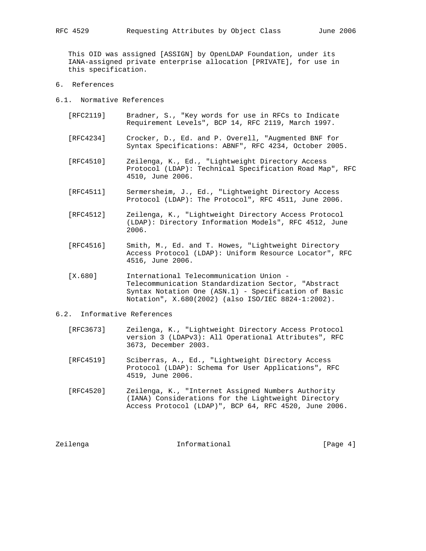This OID was assigned [ASSIGN] by OpenLDAP Foundation, under its IANA-assigned private enterprise allocation [PRIVATE], for use in this specification.

- 6. References
- 6.1. Normative References
	- [RFC2119] Bradner, S., "Key words for use in RFCs to Indicate Requirement Levels", BCP 14, RFC 2119, March 1997.
	- [RFC4234] Crocker, D., Ed. and P. Overell, "Augmented BNF for Syntax Specifications: ABNF", RFC 4234, October 2005.
	- [RFC4510] Zeilenga, K., Ed., "Lightweight Directory Access Protocol (LDAP): Technical Specification Road Map", RFC 4510, June 2006.
	- [RFC4511] Sermersheim, J., Ed., "Lightweight Directory Access Protocol (LDAP): The Protocol", RFC 4511, June 2006.
	- [RFC4512] Zeilenga, K., "Lightweight Directory Access Protocol (LDAP): Directory Information Models", RFC 4512, June 2006.
	- [RFC4516] Smith, M., Ed. and T. Howes, "Lightweight Directory Access Protocol (LDAP): Uniform Resource Locator", RFC 4516, June 2006.
	- [X.680] International Telecommunication Union - Telecommunication Standardization Sector, "Abstract Syntax Notation One (ASN.1) - Specification of Basic Notation", X.680(2002) (also ISO/IEC 8824-1:2002).

## 6.2. Informative References

- [RFC3673] Zeilenga, K., "Lightweight Directory Access Protocol version 3 (LDAPv3): All Operational Attributes", RFC 3673, December 2003.
- [RFC4519] Sciberras, A., Ed., "Lightweight Directory Access Protocol (LDAP): Schema for User Applications", RFC 4519, June 2006.
- [RFC4520] Zeilenga, K., "Internet Assigned Numbers Authority (IANA) Considerations for the Lightweight Directory Access Protocol (LDAP)", BCP 64, RFC 4520, June 2006.

Zeilenga **Informational** Informational [Page 4]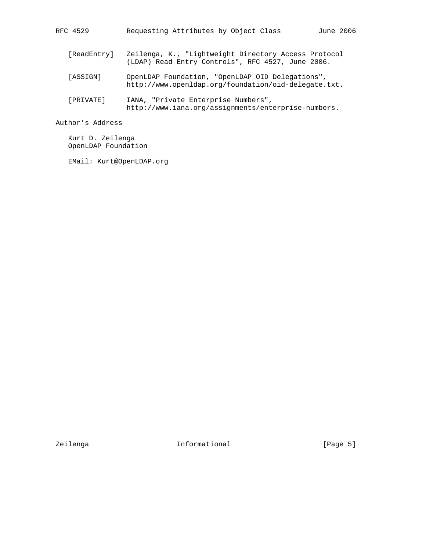| RFC 4529 | Requesting Attributes by Object Class |  |  |  |  |
|----------|---------------------------------------|--|--|--|--|
|----------|---------------------------------------|--|--|--|--|

- [ReadEntry] Zeilenga, K., "Lightweight Directory Access Protocol (LDAP) Read Entry Controls", RFC 4527, June 2006.
- [ASSIGN] OpenLDAP Foundation, "OpenLDAP OID Delegations", http://www.openldap.org/foundation/oid-delegate.txt.
- [PRIVATE] IANA, "Private Enterprise Numbers", http://www.iana.org/assignments/enterprise-numbers.

Author's Address

 Kurt D. Zeilenga OpenLDAP Foundation

EMail: Kurt@OpenLDAP.org

Zeilenga **Informational** Informational [Page 5]